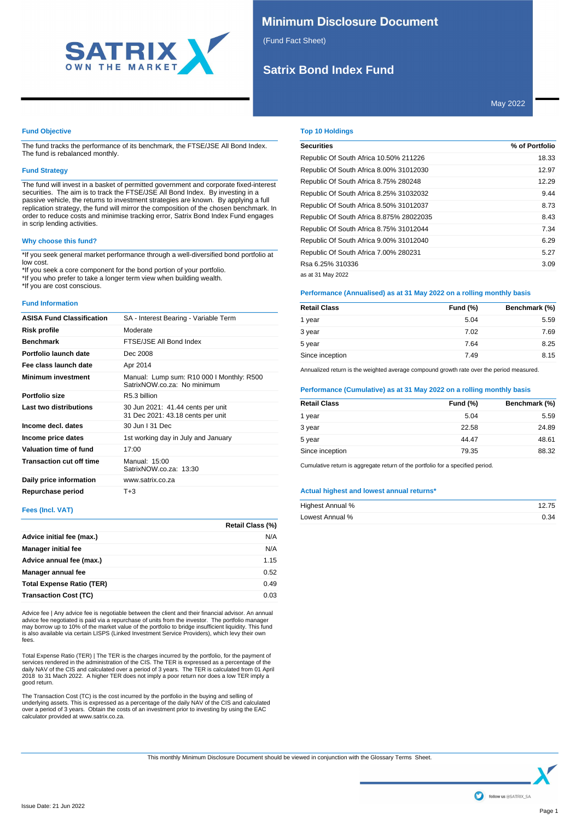

# **Minimum Disclosure Document**

(Fund Fact Sheet)

# **Satrix Bond Index Fund**

May 2022

## **Fund Objective**

The fund tracks the performance of its benchmark, the FTSE/JSE All Bond Index. The fund is rebalanced monthly.

## **Fund Strategy**

The fund will invest in a basket of permitted government and corporate fixed-interest securities. The aim is to track the FTSE/JSE All Bond Index. By investing in a passive vehicle, the returns to investment strategies are known. By applying a full replication strategy, the fund will mirror the composition of the chosen benchmark. In order to reduce costs and minimise tracking error, Satrix Bond Index Fund engages in scrip lending activities.

## **Why choose this fund?**

\*If you seek general market performance through a well-diversified bond portfolio at low cost.

\*If you seek a core component for the bond portion of your portfolio.

\*If you who prefer to take a longer term view when building wealth. \*If you are cost conscious.

## **Fund Information**

| <b>ASISA Fund Classification</b> | SA - Interest Bearing - Variable Term                                    |
|----------------------------------|--------------------------------------------------------------------------|
| Risk profile                     | Moderate                                                                 |
| <b>Benchmark</b>                 | FTSE/JSE All Bond Index                                                  |
| Portfolio launch date            | Dec 2008                                                                 |
| Fee class launch date            | Apr 2014                                                                 |
| <b>Minimum investment</b>        | Manual: Lump sum: R10 000 I Monthly: R500<br>SatrixNOW.co.za: No minimum |
| Portfolio size                   | R5.3 billion                                                             |
| Last two distributions           | 30 Jun 2021: 41.44 cents per unit<br>31 Dec 2021: 43.18 cents per unit   |
| Income decl. dates               | 30 Jun   31 Dec                                                          |
| Income price dates               | 1st working day in July and January                                      |
| Valuation time of fund           | 17:00                                                                    |
| <b>Transaction cut off time</b>  | Manual: 15:00<br>SatrixNOW.co.za: 13:30                                  |
| Daily price information          | www.satrix.co.za                                                         |
| Repurchase period                | $T + 3$                                                                  |

## **Fees (Incl. VAT)**

|                                  | <b>Retail Class (%)</b> |
|----------------------------------|-------------------------|
| Advice initial fee (max.)        | N/A                     |
| <b>Manager initial fee</b>       | N/A                     |
| Advice annual fee (max.)         | 1.15                    |
| Manager annual fee               | 0.52                    |
| <b>Total Expense Ratio (TER)</b> | 0.49                    |
| <b>Transaction Cost (TC)</b>     | 0.03                    |

Advice fee | Any advice fee is negotiable between the client and their financial advisor. An annual<br>advice fee negotiated is paid via a repurchase of units from the investor. The portfolio manager<br>may borrow up to 10% of t is also available via certain LISPS (Linked Investment Service Providers), which levy their own fees.

Total Expense Ratio (TER) | The TER is the charges incurred by the portfolio, for the payment of services rendered in the administration of the CIS. The TER is expressed as a percentage of the daily NAV of the CIS and calculated over a period of 3 years. The TER is calculated from 01 April 2018 to 31 Mach 2022. A higher TER does not imply a poor return nor does a low TER imply a good return.

The Transaction Cost (TC) is the cost incurred by the portfolio in the buying and selling of<br>underlying assets. This is expressed as a percentage of the daily NAV of the CIS and calculated<br>over a period of 3 years. Obtain

## **Top 10 Holdings**

| <b>Securities</b>                        | % of Portfolio |
|------------------------------------------|----------------|
| Republic Of South Africa 10.50% 211226   | 18.33          |
| Republic Of South Africa 8.00% 31012030  | 12.97          |
| Republic Of South Africa 8.75% 280248    | 12.29          |
| Republic Of South Africa 8.25% 31032032  | 9.44           |
| Republic Of South Africa 8.50% 31012037  | 8.73           |
| Republic Of South Africa 8.875% 28022035 | 8.43           |
| Republic Of South Africa 8.75% 31012044  | 7.34           |
| Republic Of South Africa 9.00% 31012040  | 6.29           |
| Republic Of South Africa 7.00% 280231    | 5.27           |
| Rsa 6.25% 310336                         | 3.09           |
| as at 31 May 2022                        |                |

## **Performance (Annualised) as at 31 May 2022 on a rolling monthly basis**

| <b>Retail Class</b> | Fund $(\%)$ | Benchmark (%) |
|---------------------|-------------|---------------|
| 1 year              | 5.04        | 5.59          |
| 3 year              | 7.02        | 7.69          |
| 5 year              | 7.64        | 8.25          |
| Since inception     | 7.49        | 8.15          |

Annualized return is the weighted average compound growth rate over the period measured.

## **Performance (Cumulative) as at 31 May 2022 on a rolling monthly basis**

| Fund $(\%)$ | Benchmark (%) |
|-------------|---------------|
| 5.04        | 5.59          |
| 22.58       | 24.89         |
| 44.47       | 48.61         |
| 79.35       | 88.32         |
|             |               |

Cumulative return is aggregate return of the portfolio for a specified period.

## **Actual highest and lowest annual returns\***

| Highest Annual % | 12.75 |
|------------------|-------|
| Lowest Annual %  | 0.34  |

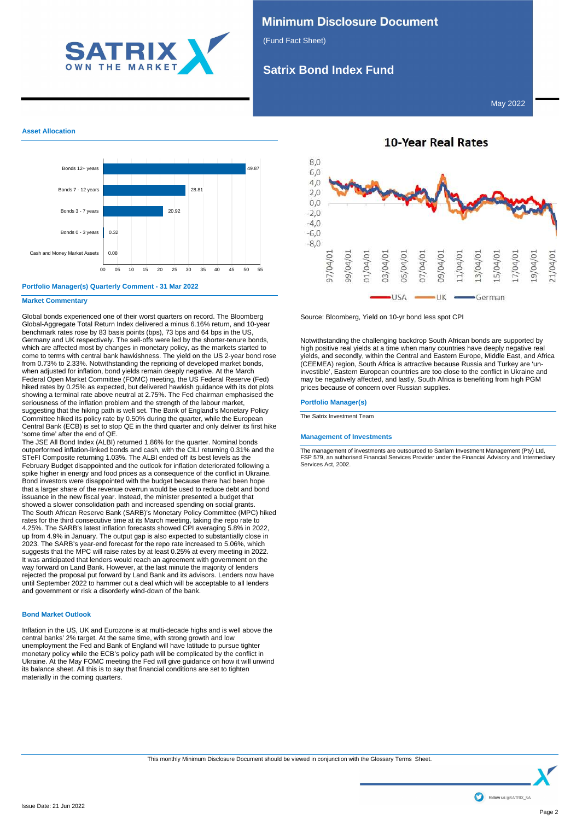

# **Minimum Disclosure Document**

(Fund Fact Sheet)

# **Satrix Bond Index Fund**

May 2022

## **Asset Allocation**



## **Portfolio Manager(s) Quarterly Comment - 31 Mar 2022**

## **Market Commentary**

Global bonds experienced one of their worst quarters on record. The Bloomberg Global-Aggregate Total Return Index delivered a minus 6.16% return, and 10-year benchmark rates rose by 83 basis points (bps), 73 bps and 64 bps in the US, Germany and UK respectively. The sell-offs were led by the shorter-tenure bonds, which are affected most by changes in monetary policy, as the markets started to come to terms with central bank hawkishness. The yield on the US 2-year bond rose from 0.73% to 2.33%. Notwithstanding the repricing of developed market bonds, when adjusted for inflation, bond yields remain deeply negative. At the March Federal Open Market Committee (FOMC) meeting, the US Federal Reserve (Fed) hiked rates by 0.25% as expected, but delivered hawkish guidance with its dot plots showing a terminal rate above neutral at 2.75%. The Fed chairman emphasised the seriousness of the inflation problem and the strength of the labour market, suggesting that the hiking path is well set. The Bank of England's Monetary Policy Committee hiked its policy rate by 0.50% during the quarter, while the European Central Bank (ECB) is set to stop QE in the third quarter and only deliver its first hike 'some time' after the end of QE.

The JSE All Bond Index (ALBI) returned 1.86% for the quarter. Nominal bonds outperformed inflation-linked bonds and cash, with the CILI returning 0.31% and the STeFI Composite returning 1.03%. The ALBI ended off its best levels as the February Budget disappointed and the outlook for inflation deteriorated following a spike higher in energy and food prices as a consequence of the conflict in Ukraine. Bond investors were disappointed with the budget because there had been hope that a larger share of the revenue overrun would be used to reduce debt and bond issuance in the new fiscal year. Instead, the minister presented a budget that showed a slower consolidation path and increased spending on social grants. The South African Reserve Bank (SARB)'s Monetary Policy Committee (MPC) hiked rates for the third consecutive time at its March meeting, taking the repo rate to 4.25%. The SARB's latest inflation forecasts showed CPI averaging 5.8% in 2022, up from 4.9% in January. The output gap is also expected to substantially close in 2023. The SARB's year-end forecast for the repo rate increased to 5.06%, which suggests that the MPC will raise rates by at least 0.25% at every meeting in 2022. It was anticipated that lenders would reach an agreement with government on the way forward on Land Bank. However, at the last minute the majority of lenders rejected the proposal put forward by Land Bank and its advisors. Lenders now have until September 2022 to hammer out a deal which will be acceptable to all lenders and government or risk a disorderly wind-down of the bank.

## **Bond Market Outlook**

Inflation in the US, UK and Eurozone is at multi-decade highs and is well above the central banks' 2% target. At the same time, with strong growth and low unemployment the Fed and Bank of England will have latitude to pursue tighter monetary policy while the ECB's policy path will be complicated by the conflict in Ukraine. At the May FOMC meeting the Fed will give guidance on how it will unwind its balance sheet. All this is to say that financial conditions are set to tighten materially in the coming quarters.



**10-Year Real Rates** 

Source: Bloomberg, Yield on 10-yr bond less spot CPI

Notwithstanding the challenging backdrop South African bonds are supported by high positive real yields at a time when many countries have deeply negative real yields, and secondly, within the Central and Eastern Europe, Middle East, and Africa (CEEMEA) region, South Africa is attractive because Russia and Turkey are 'uninvestible', Eastern European countries are too close to the conflict in Ukraine and may be negatively affected, and lastly, South Africa is benefiting from high PGM prices because of concern over Russian supplies.

## **Portfolio Manager(s)**

The Satrix Investment Team

## **Management of Investments**

The management of investments are outsourced to Sanlam Investment Management (Pty) Ltd, FSP 579, an authorised Financial Services Provider under the Financial Advisory and Intermediary Services Act, 2002.

This monthly Minimum Disclosure Document should be viewed in conjunction with the Glossary Terms Sheet.